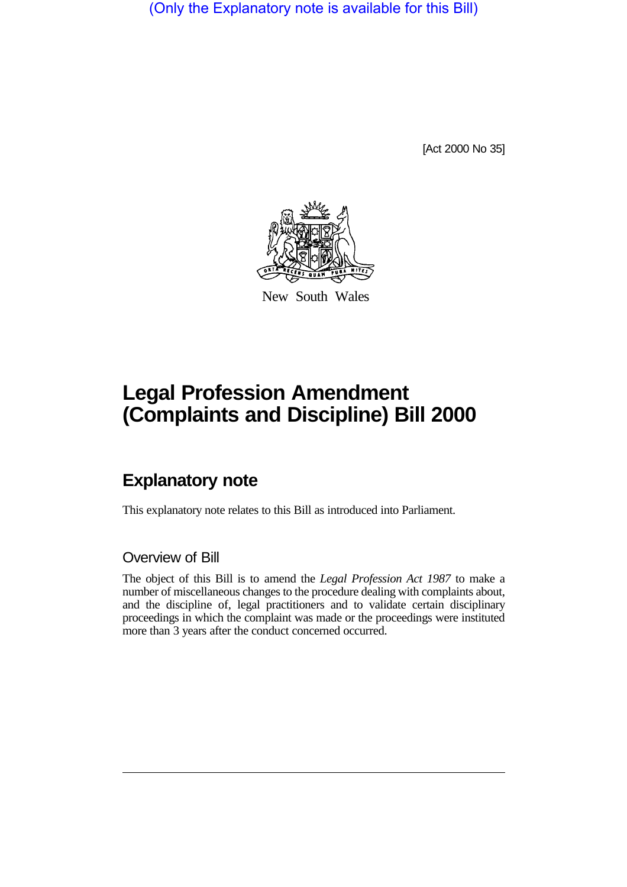(Only the Explanatory note is available for this Bill)

[Act 2000 No 35]



New South Wales

# **Legal Profession Amendment (Complaints and Discipline) Bill 2000**

## **Explanatory note**

This explanatory note relates to this Bill as introduced into Parliament.

#### Overview of Bill

The object of this Bill is to amend the *Legal Profession Act 1987* to make a number of miscellaneous changes to the procedure dealing with complaints about, and the discipline of, legal practitioners and to validate certain disciplinary proceedings in which the complaint was made or the proceedings were instituted more than 3 years after the conduct concerned occurred.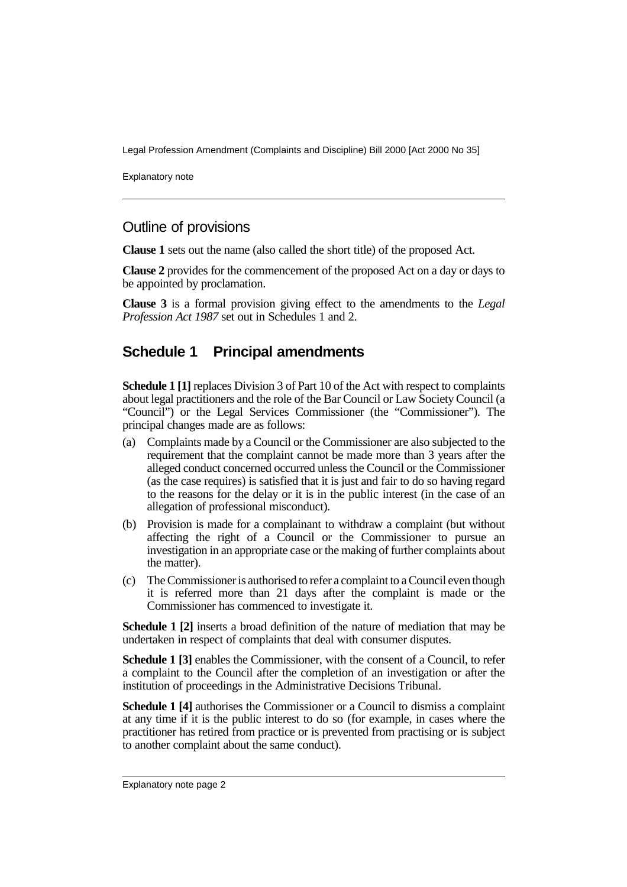Legal Profession Amendment (Complaints and Discipline) Bill 2000 [Act 2000 No 35]

Explanatory note

#### Outline of provisions

**Clause 1** sets out the name (also called the short title) of the proposed Act.

**Clause 2** provides for the commencement of the proposed Act on a day or days to be appointed by proclamation.

**Clause 3** is a formal provision giving effect to the amendments to the *Legal Profession Act 1987* set out in Schedules 1 and 2.

#### **Schedule 1 Principal amendments**

**Schedule 1 [1]** replaces Division 3 of Part 10 of the Act with respect to complaints about legal practitioners and the role of the Bar Council or Law Society Council (a "Council") or the Legal Services Commissioner (the "Commissioner"). The principal changes made are as follows:

- (a) Complaints made by a Council or the Commissioner are also subjected to the requirement that the complaint cannot be made more than 3 years after the alleged conduct concerned occurred unless the Council or the Commissioner (as the case requires) is satisfied that it is just and fair to do so having regard to the reasons for the delay or it is in the public interest (in the case of an allegation of professional misconduct).
- (b) Provision is made for a complainant to withdraw a complaint (but without affecting the right of a Council or the Commissioner to pursue an investigation in an appropriate case or the making of further complaints about the matter).
- (c) The Commissioner is authorised to refer a complaint to a Council even though it is referred more than 21 days after the complaint is made or the Commissioner has commenced to investigate it.

**Schedule 1 [2]** inserts a broad definition of the nature of mediation that may be undertaken in respect of complaints that deal with consumer disputes.

**Schedule 1 [3]** enables the Commissioner, with the consent of a Council, to refer a complaint to the Council after the completion of an investigation or after the institution of proceedings in the Administrative Decisions Tribunal.

**Schedule 1 [4]** authorises the Commissioner or a Council to dismiss a complaint at any time if it is the public interest to do so (for example, in cases where the practitioner has retired from practice or is prevented from practising or is subject to another complaint about the same conduct).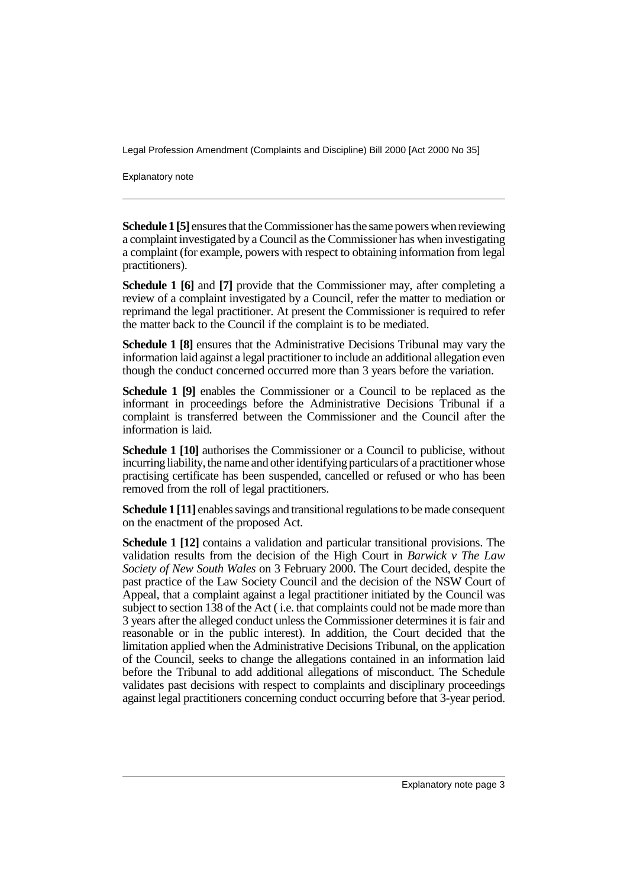Legal Profession Amendment (Complaints and Discipline) Bill 2000 [Act 2000 No 35]

Explanatory note

**Schedule 1 [5]** ensures that the Commissioner has the same powers when reviewing a complaint investigated by a Council as the Commissioner has when investigating a complaint (for example, powers with respect to obtaining information from legal practitioners).

**Schedule 1 [6]** and **[7]** provide that the Commissioner may, after completing a review of a complaint investigated by a Council, refer the matter to mediation or reprimand the legal practitioner. At present the Commissioner is required to refer the matter back to the Council if the complaint is to be mediated.

**Schedule 1 [8]** ensures that the Administrative Decisions Tribunal may vary the information laid against a legal practitioner to include an additional allegation even though the conduct concerned occurred more than 3 years before the variation.

**Schedule 1 [9]** enables the Commissioner or a Council to be replaced as the informant in proceedings before the Administrative Decisions Tribunal if a complaint is transferred between the Commissioner and the Council after the information is laid.

**Schedule 1 [10]** authorises the Commissioner or a Council to publicise, without incurring liability, the name and other identifying particulars of a practitioner whose practising certificate has been suspended, cancelled or refused or who has been removed from the roll of legal practitioners.

**Schedule 1 [11]** enables savings and transitional regulations to be made consequent on the enactment of the proposed Act.

**Schedule 1 [12]** contains a validation and particular transitional provisions. The validation results from the decision of the High Court in *Barwick v The Law Society of New South Wales* on 3 February 2000. The Court decided, despite the past practice of the Law Society Council and the decision of the NSW Court of Appeal, that a complaint against a legal practitioner initiated by the Council was subject to section 138 of the Act ( i.e. that complaints could not be made more than 3 years after the alleged conduct unless the Commissioner determines it is fair and reasonable or in the public interest). In addition, the Court decided that the limitation applied when the Administrative Decisions Tribunal, on the application of the Council, seeks to change the allegations contained in an information laid before the Tribunal to add additional allegations of misconduct. The Schedule validates past decisions with respect to complaints and disciplinary proceedings against legal practitioners concerning conduct occurring before that 3-year period.